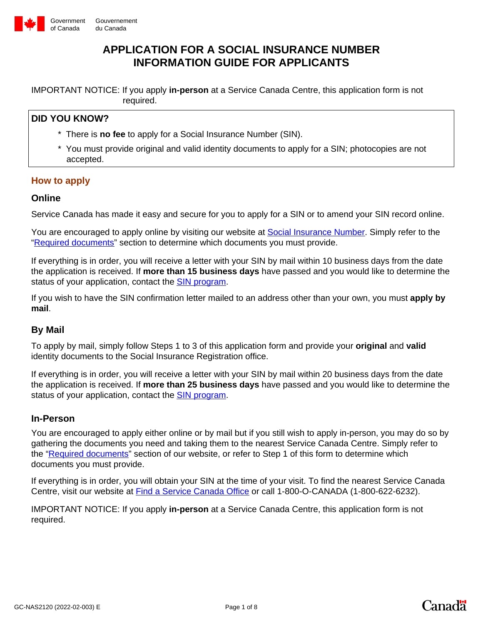

#### Gouvernement du Canada

## **APPLICATION FOR A SOCIAL INSURANCE NUMBER INFORMATION GUIDE FOR APPLICANTS**

IMPORTANT NOTICE: If you apply **in-person** at a Service Canada Centre, this application form is not required.

## **DID YOU KNOW?**

- \* There is **no fee** to apply for a Social Insurance Number (SIN).
- \* You must provide original and valid identity documents to apply for a SIN; photocopies are not accepted.

#### **How to apply**

#### **Online**

Service Canada has made it easy and secure for you to apply for a SIN or to amend your SIN record online.

You are encouraged to apply online by visiting our website at [Social Insurance Number.](https://www.canada.ca/en/employment-social-development/services/sin.html) Simply refer to the ["Required documents"](https://www.canada.ca/en/employment-social-development/services/sin/required-documents.html) section to determine which documents you must provide.

If everything is in order, you will receive a letter with your SIN by mail within 10 business days from the date the application is received. If **more than 15 business days** have passed and you would like to determine the status of your application, contact the **SIN program**.

If you wish to have the SIN confirmation letter mailed to an address other than your own, you must **apply by mail**.

### **By Mail**

To apply by mail, simply follow Steps 1 to 3 of this application form and provide your **original** and **valid** identity documents to the Social Insurance Registration office.

If everything is in order, you will receive a letter with your SIN by mail within 20 business days from the date the application is received. If **more than 25 business days** have passed and you would like to determine the status of your application, contact the **SIN** program.

#### **In-Person**

You are encouraged to apply either online or by mail but if you still wish to apply in-person, you may do so by gathering the documents you need and taking them to the nearest Service Canada Centre. Simply refer to the "[Required documents](https://www.canada.ca/en/employment-social-development/services/sin/required-documents.html)" section of our website, or refer to Step 1 of this form to determine which documents you must provide.

If everything is in order, you will obtain your SIN at the time of your visit. To find the nearest Service Canada Centre, visit our website at [Find a Service Canada Office](http://www.servicecanada.gc.ca/tbsc-fsco/sc-hme.jsp?lang=eng) or call 1-800-O-CANADA (1-800-622-6232).

IMPORTANT NOTICE: If you apply **in-person** at a Service Canada Centre, this application form is not required.

**Canadä**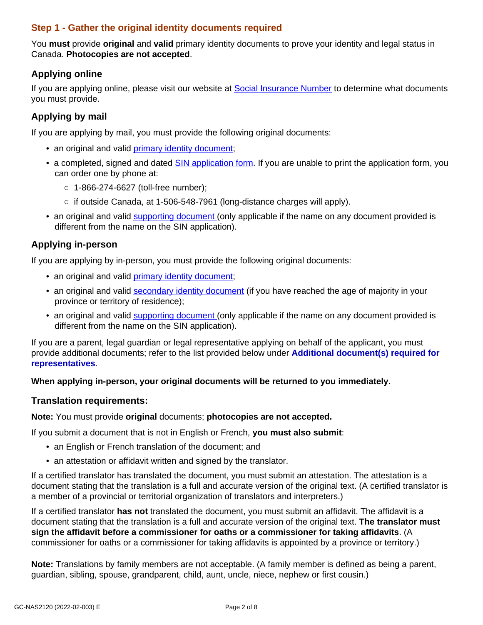## **Step 1 - Gather the original identity documents required**

You **must** provide **original** and **valid** primary identity documents to prove your identity and legal status in Canada. **Photocopies are not accepted**.

## **Applying online**

If you are applying online, please visit our website at [Social Insurance Number](https://www.canada.ca/en/employment-social-development/services/sin.html) to determine what documents you must provide.

## **Applying by mail**

If you are applying by mail, you must provide the following original documents:

- an original and valid [primary identity document](https://www.canada.ca/en/employment-social-development/services/sin/required-documents.html#h2.3);
- a completed, signed and dated [SIN application form](https://catalogue.servicecanada.gc.ca/content/EForms/en/Detail.html?Form=NAS2120). If you are unable to print the application form, you can order one by phone at:
	- **○** 1-866-274-6627 (toll-free number);
	- **○** if outside Canada, at 1-506-548-7961 (long-distance charges will apply).
- an original and valid [supporting document](https://www.canada.ca/en/employment-social-development/services/sin/required-documents.html#h2.8) (only applicable if the name on any document provided is different from the name on the SIN application).

## **Applying in-person**

If you are applying by in-person, you must provide the following original documents:

- an original and valid [primary identity document](https://www.canada.ca/en/employment-social-development/services/sin/required-documents.html#h2.3);
- an original and valid [secondary identity document](https://www.canada.ca/en/employment-social-development/services/sin/required-documents.html#h2.7) (if you have reached the age of majority in your province or territory of residence);
- an original and valid [supporting document](https://www.canada.ca/en/employment-social-development/services/sin/required-documents.html#h2.8) (only applicable if the name on any document provided is different from the name on the SIN application).

If you are a parent, legal guardian or legal representative applying on behalf of the applicant, you must provide additional documents; refer to the list provided below under **Additional document(s) required for representatives**.

#### **When applying in-person, your original documents will be returned to you immediately.**

#### **Translation requirements:**

**Note:** You must provide **original** documents; **photocopies are not accepted.**

If you submit a document that is not in English or French, **you must also submit**:

- an English or French translation of the document; and
- an attestation or affidavit written and signed by the translator.

If a certified translator has translated the document, you must submit an attestation. The attestation is a document stating that the translation is a full and accurate version of the original text. (A certified translator is a member of a provincial or territorial organization of translators and interpreters.)

If a certified translator **has not** translated the document, you must submit an affidavit. The affidavit is a document stating that the translation is a full and accurate version of the original text. **The translator must sign the affidavit before a commissioner for oaths or a commissioner for taking affidavits**. (A commissioner for oaths or a commissioner for taking affidavits is appointed by a province or territory.)

**Note:** Translations by family members are not acceptable. (A family member is defined as being a parent, guardian, sibling, spouse, grandparent, child, aunt, uncle, niece, nephew or first cousin.)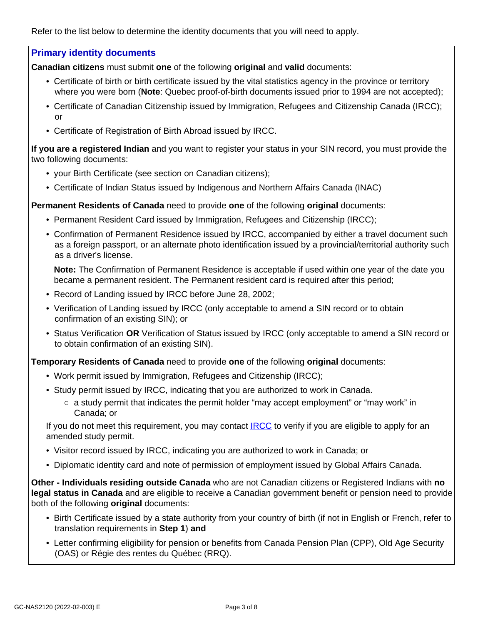Refer to the list below to determine the identity documents that you will need to apply.

#### **Primary identity documents**

**Canadian citizens** must submit **one** of the following **original** and **valid** documents:

- Certificate of birth or birth certificate issued by the vital statistics agency in the province or territory where you were born (**Note**: Quebec proof-of-birth documents issued prior to 1994 are not accepted);
- Certificate of Canadian Citizenship issued by Immigration, Refugees and Citizenship Canada (IRCC); or
- Certificate of Registration of Birth Abroad issued by IRCC.

**If you are a registered Indian** and you want to register your status in your SIN record, you must provide the two following documents:

- your Birth Certificate (see section on Canadian citizens);
- Certificate of Indian Status issued by Indigenous and Northern Affairs Canada (INAC)

**Permanent Residents of Canada** need to provide **one** of the following **original** documents:

- Permanent Resident Card issued by Immigration, Refugees and Citizenship (IRCC);
- Confirmation of Permanent Residence issued by IRCC, accompanied by either a travel document such as a foreign passport, or an alternate photo identification issued by a provincial/territorial authority such as a driver's license.

**Note:** The Confirmation of Permanent Residence is acceptable if used within one year of the date you became a permanent resident. The Permanent resident card is required after this period;

- Record of Landing issued by IRCC before June 28, 2002;
- Verification of Landing issued by IRCC (only acceptable to amend a SIN record or to obtain confirmation of an existing SIN); or
- Status Verification **OR** Verification of Status issued by IRCC (only acceptable to amend a SIN record or to obtain confirmation of an existing SIN).

**Temporary Residents of Canada** need to provide **one** of the following **original** documents:

- Work permit issued by Immigration, Refugees and Citizenship (IRCC);
- Study permit issued by IRCC, indicating that you are authorized to work in Canada.
	- $\circ$  a study permit that indicates the permit holder "may accept employment" or "may work" in Canada; or

If you do not meet this requirement, you may contact [IRCC](http://www.cic.gc.ca/english/study/work.asp) to verify if you are eligible to apply for an amended study permit.

- Visitor record issued by IRCC, indicating you are authorized to work in Canada; or
- Diplomatic identity card and note of permission of employment issued by Global Affairs Canada.

**Other - Individuals residing outside Canada** who are not Canadian citizens or Registered Indians with **no legal status in Canada** and are eligible to receive a Canadian government benefit or pension need to provide both of the following **original** documents:

- Birth Certificate issued by a state authority from your country of birth (if not in English or French, refer to translation requirements in **Step 1**) **and**
- Letter confirming eligibility for pension or benefits from Canada Pension Plan (CPP), Old Age Security (OAS) or Régie des rentes du Québec (RRQ).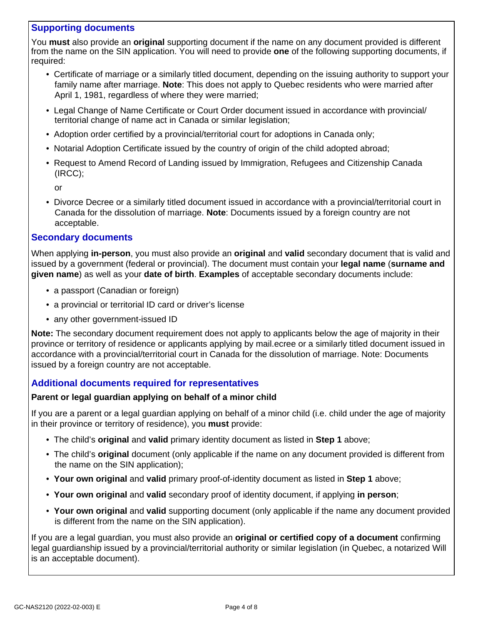## **Supporting documents**

You **must** also provide an **original** supporting document if the name on any document provided is different from the name on the SIN application. You will need to provide **one** of the following supporting documents, if required:

- Certificate of marriage or a similarly titled document, depending on the issuing authority to support your family name after marriage. **Note**: This does not apply to Quebec residents who were married after April 1, 1981, regardless of where they were married;
- Legal Change of Name Certificate or Court Order document issued in accordance with provincial/ territorial change of name act in Canada or similar legislation;
- Adoption order certified by a provincial/territorial court for adoptions in Canada only;
- Notarial Adoption Certificate issued by the country of origin of the child adopted abroad;
- Request to Amend Record of Landing issued by Immigration, Refugees and Citizenship Canada (IRCC);

or

• Divorce Decree or a similarly titled document issued in accordance with a provincial/territorial court in Canada for the dissolution of marriage. **Note**: Documents issued by a foreign country are not acceptable.

### **Secondary documents**

When applying **in-person**, you must also provide an **original** and **valid** secondary document that is valid and issued by a government (federal or provincial). The document must contain your **legal name** (**surname and given name**) as well as your **date of birth**. **Examples** of acceptable secondary documents include:

- a passport (Canadian or foreign)
- a provincial or territorial ID card or driver's license
- any other government-issued ID

**Note:** The secondary document requirement does not apply to applicants below the age of majority in their province or territory of residence or applicants applying by mail.ecree or a similarly titled document issued in accordance with a provincial/territorial court in Canada for the dissolution of marriage. Note: Documents issued by a foreign country are not acceptable.

### **Additional documents required for representatives**

#### **Parent or legal guardian applying on behalf of a minor child**

If you are a parent or a legal guardian applying on behalf of a minor child (i.e. child under the age of majority in their province or territory of residence), you **must** provide:

- The child's **original** and **valid** primary identity document as listed in **Step 1** above;
- The child's **original** document (only applicable if the name on any document provided is different from the name on the SIN application);
- **Your own original** and **valid** primary proof-of-identity document as listed in **Step 1** above;
- **Your own original** and **valid** secondary proof of identity document, if applying **in person**;
- **Your own original** and **valid** supporting document (only applicable if the name any document provided is different from the name on the SIN application).

If you are a legal guardian, you must also provide an **original or certified copy of a document** confirming legal guardianship issued by a provincial/territorial authority or similar legislation (in Quebec, a notarized Will is an acceptable document).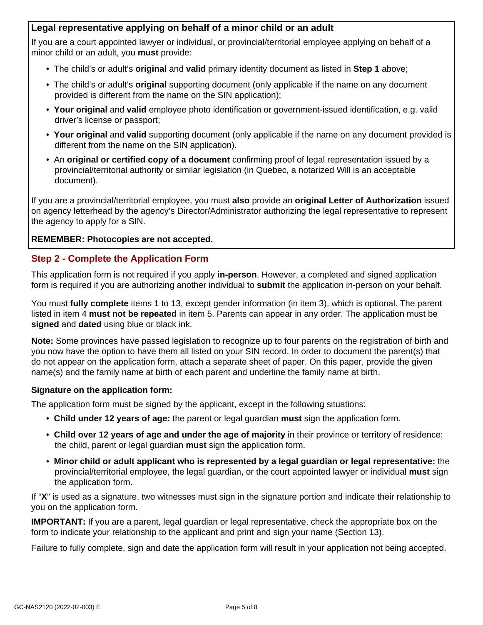## **Legal representative applying on behalf of a minor child or an adult**

If you are a court appointed lawyer or individual, or provincial/territorial employee applying on behalf of a minor child or an adult, you **must** provide:

- The child's or adult's **original** and **valid** primary identity document as listed in **Step 1** above;
- The child's or adult's **original** supporting document (only applicable if the name on any document provided is different from the name on the SIN application);
- **Your original** and **valid** employee photo identification or government-issued identification, e.g. valid driver's license or passport;
- **Your original** and **valid** supporting document (only applicable if the name on any document provided is different from the name on the SIN application).
- An **original or certified copy of a document** confirming proof of legal representation issued by a provincial/territorial authority or similar legislation (in Quebec, a notarized Will is an acceptable document).

If you are a provincial/territorial employee, you must **also** provide an **original Letter of Authorization** issued on agency letterhead by the agency's Director/Administrator authorizing the legal representative to represent the agency to apply for a SIN.

#### **REMEMBER: Photocopies are not accepted.**

## **Step 2 - Complete the Application Form**

This application form is not required if you apply **in-person**. However, a completed and signed application form is required if you are authorizing another individual to **submit** the application in-person on your behalf.

You must **fully complete** items 1 to 13, except gender information (in item 3), which is optional. The parent listed in item 4 **must not be repeated** in item 5. Parents can appear in any order. The application must be **signed** and **dated** using blue or black ink.

**Note:** Some provinces have passed legislation to recognize up to four parents on the registration of birth and you now have the option to have them all listed on your SIN record. In order to document the parent(s) that do not appear on the application form, attach a separate sheet of paper. On this paper, provide the given name(s) and the family name at birth of each parent and underline the family name at birth.

#### **Signature on the application form:**

The application form must be signed by the applicant, except in the following situations:

- **Child under 12 years of age:** the parent or legal guardian **must** sign the application form.
- **Child over 12 years of age and under the age of majority** in their province or territory of residence: the child, parent or legal guardian **must** sign the application form.
- **Minor child or adult applicant who is represented by a legal guardian or legal representative:** the provincial/territorial employee, the legal guardian, or the court appointed lawyer or individual **must** sign the application form.

If "**X**" is used as a signature, two witnesses must sign in the signature portion and indicate their relationship to you on the application form.

**IMPORTANT:** If you are a parent, legal guardian or legal representative, check the appropriate box on the form to indicate your relationship to the applicant and print and sign your name (Section 13).

Failure to fully complete, sign and date the application form will result in your application not being accepted.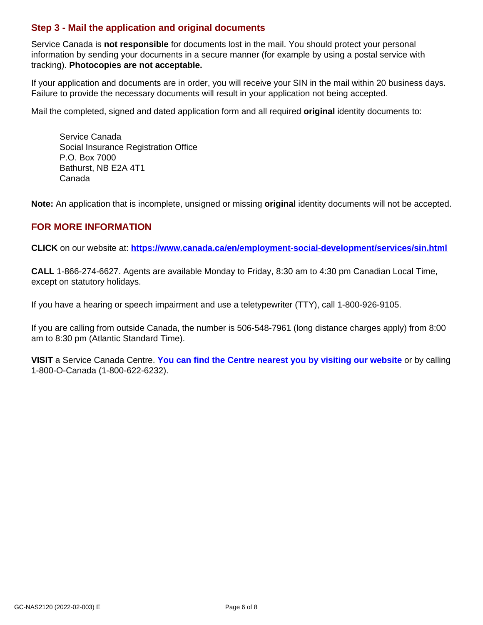## **Step 3 - Mail the application and original documents**

Service Canada is **not responsible** for documents lost in the mail. You should protect your personal information by sending your documents in a secure manner (for example by using a postal service with tracking). **Photocopies are not acceptable.**

If your application and documents are in order, you will receive your SIN in the mail within 20 business days. Failure to provide the necessary documents will result in your application not being accepted.

Mail the completed, signed and dated application form and all required **original** identity documents to:

Service Canada Social Insurance Registration Office P.O. Box 7000 Bathurst, NB E2A 4T1 Canada

**Note:** An application that is incomplete, unsigned or missing **original** identity documents will not be accepted.

### **FOR MORE INFORMATION**

**CLICK** on our website at: **<https://www.canada.ca/en/employment-social-development/services/sin.html>**

**CALL** 1-866-274-6627. Agents are available Monday to Friday, 8:30 am to 4:30 pm Canadian Local Time, except on statutory holidays.

If you have a hearing or speech impairment and use a teletypewriter (TTY), call 1-800-926-9105.

If you are calling from outside Canada, the number is 506-548-7961 (long distance charges apply) from 8:00 am to 8:30 pm (Atlantic Standard Time).

**VISIT** a Service Canada Centre. **[You can find the Centre nearest you by visiting our website](https://www.servicecanada.gc.ca/tbsc-fsco/sc-hme.jsp?lang=eng)** or by calling 1-800-O-Canada (1-800-622-6232).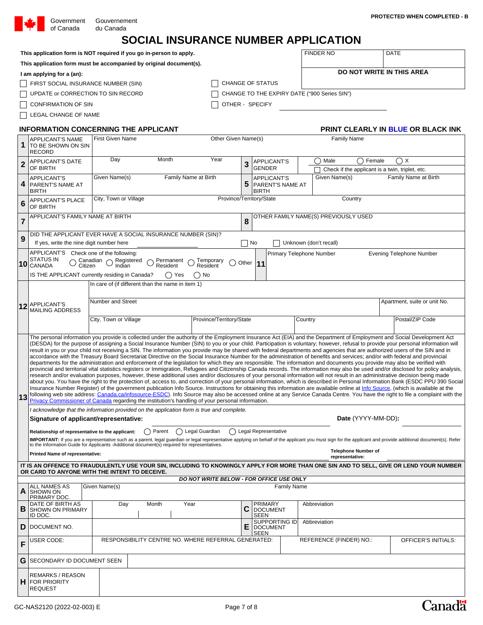| Government | G  |
|------------|----|
| of Canada  | dı |

| of Canada                                                                  | du Canada                                                                                                                                                                                                                                                                                        |                                                                     |                     |                                              |                                                               |  |                        |             |                                                 |
|----------------------------------------------------------------------------|--------------------------------------------------------------------------------------------------------------------------------------------------------------------------------------------------------------------------------------------------------------------------------------------------|---------------------------------------------------------------------|---------------------|----------------------------------------------|---------------------------------------------------------------|--|------------------------|-------------|-------------------------------------------------|
|                                                                            |                                                                                                                                                                                                                                                                                                  | SOCIAL INSURANCE NUMBER APPLICATION                                 |                     |                                              |                                                               |  |                        |             |                                                 |
|                                                                            |                                                                                                                                                                                                                                                                                                  | This application form is NOT required if you go in-person to apply. |                     |                                              |                                                               |  | <b>FINDER NO</b>       |             | <b>DATE</b>                                     |
|                                                                            |                                                                                                                                                                                                                                                                                                  | This application form must be accompanied by original document(s).  |                     |                                              |                                                               |  |                        |             |                                                 |
| I am applying for a (an):                                                  |                                                                                                                                                                                                                                                                                                  |                                                                     |                     |                                              |                                                               |  |                        |             | <b>DO NOT WRITE IN THIS AREA</b>                |
|                                                                            | FIRST SOCIAL INSURANCE NUMBER (SIN)                                                                                                                                                                                                                                                              |                                                                     |                     | CHANGE OF STATUS                             |                                                               |  |                        |             |                                                 |
|                                                                            | UPDATE or CORRECTION TO SIN RECORD                                                                                                                                                                                                                                                               |                                                                     |                     | CHANGE TO THE EXPIRY DATE ("900 Series SIN") |                                                               |  |                        |             |                                                 |
| <b>CONFIRMATION OF SIN</b>                                                 |                                                                                                                                                                                                                                                                                                  |                                                                     |                     |                                              | OTHER - SPECIFY                                               |  |                        |             |                                                 |
| LEGAL CHANGE OF NAME                                                       |                                                                                                                                                                                                                                                                                                  |                                                                     |                     |                                              |                                                               |  |                        |             |                                                 |
|                                                                            |                                                                                                                                                                                                                                                                                                  | <b>INFORMATION CONCERNING THE APPLICANT</b>                         |                     |                                              |                                                               |  |                        |             | <b>PRINT CLEARLY IN BLUE OR BLACK INK</b>       |
| <b>APPLICANT'S NAME</b><br>1<br><b>TO BE SHOWN ON SIN</b>                  | <b>First Given Name</b>                                                                                                                                                                                                                                                                          |                                                                     | Other Given Name(s) |                                              |                                                               |  | <b>Family Name</b>     |             |                                                 |
| <b>RECORD</b>                                                              |                                                                                                                                                                                                                                                                                                  |                                                                     |                     |                                              |                                                               |  |                        |             |                                                 |
| <b>APPLICANT'S DATE</b><br>$\overline{2}$                                  | Day                                                                                                                                                                                                                                                                                              | Month                                                               | Year                | 3                                            | <b>APPLICANT'S</b>                                            |  | Male<br>∩              | Female<br>◠ | $\bigcap X$                                     |
| OF BIRTH                                                                   |                                                                                                                                                                                                                                                                                                  |                                                                     |                     |                                              | <b>GENDER</b>                                                 |  |                        |             | Check if the applicant is a twin, triplet, etc. |
| <b>APPLICANT'S</b><br>4 PARENT'S NAME AT<br><b>BIRTH</b>                   | Given Name(s)                                                                                                                                                                                                                                                                                    | Family Name at Birth                                                |                     | 5                                            | <b>APPLICANT'S</b><br><b>PARENT'S NAME AT</b><br><b>BIRTH</b> |  | Given Name(s)          |             | Family Name at Birth                            |
| <b>APPLICANT'S PLACE</b><br>6<br>OF BIRTH                                  |                                                                                                                                                                                                                                                                                                  | City, Town or Village<br>Province/Territory/State<br>Country        |                     |                                              |                                                               |  |                        |             |                                                 |
| $\overline{7}$                                                             | APPLICANT'S FAMILY NAME AT BIRTH                                                                                                                                                                                                                                                                 |                                                                     |                     | 8                                            | OTHER FAMILY NAME(S) PREVIOUSLY USED                          |  |                        |             |                                                 |
| DID THE APPLICANT EVER HAVE A SOCIAL INSURANCE NUMBER (SIN)?<br>9          |                                                                                                                                                                                                                                                                                                  |                                                                     |                     |                                              |                                                               |  |                        |             |                                                 |
|                                                                            | $\Box$ No<br>If yes, write the nine digit number here                                                                                                                                                                                                                                            |                                                                     |                     |                                              |                                                               |  | Unknown (don't recall) |             |                                                 |
| <b>STATUS IN</b><br>10 CANADA                                              | APPLICANT'S Check one of the following:<br>Primary Telephone Number<br><b>Evening Telephone Number</b><br>Canadian $\bigcirc$ Registered<br>Citizen $\bigcirc$ Indian<br>Permanent $\epsilon$<br>Temporary<br>Other $ 11$<br>$\left(\begin{array}{c} \end{array}\right)$<br>Resident<br>Resident |                                                                     |                     |                                              |                                                               |  |                        |             |                                                 |
| IS THE APPLICANT currently residing in Canada?<br>$\bigcap$ Yes<br>$()$ No |                                                                                                                                                                                                                                                                                                  |                                                                     |                     |                                              |                                                               |  |                        |             |                                                 |
|                                                                            |                                                                                                                                                                                                                                                                                                  | In care of (if different than the name in item 1)                   |                     |                                              |                                                               |  |                        |             |                                                 |
|                                                                            |                                                                                                                                                                                                                                                                                                  |                                                                     |                     |                                              |                                                               |  |                        |             |                                                 |
| ADDI ICANITIC                                                              | Number and Street                                                                                                                                                                                                                                                                                |                                                                     |                     |                                              |                                                               |  |                        |             | Apartment, suite or unit No.                    |

City, Town or Village Province/Territory/State Country Country Postal/ZIP Code

**representative:**

The personal information you provide is collected under the authority of the Employment Insurance Act (EIA) and the Department of Employment and Social Development Act (DESDA) for the purpose of assigning a Social Insurance Number (SIN) to you or your child. Participation is voluntary; however, refusal to provide your personal information will result in you or your child not receiving a SIN. The information you provide may be shared with federal departments and agencies that are authorized users of the SIN and in accordance with the Treasury Board Secretariat Directive on the Social Insurance Number for the administration of benefits and services; and/or with federal and provincial departments for the administration and enforcement of the legislation for which they are responsible. The information and documents you provide may also be verified with provincial and territorial vital statistics registers or Immigration, Refugees and Citizenship Canada records. The information may also be used and/or disclosed for policy analysis, research and/or evaluation purposes, however, these additional uses and/or disclosures of your personal information will not result in an administrative decision being made about you. You have the right to the protection of, access to, and correction of your personal information, which is described in Personal Information Bank (ESDC PPU 390 Social Insurance Number Register) of the government publication Info Source. Instructions for obtaining this information are available online at [Info Source,](http://canada.ca/infosource-ESDC) (which is available at the following web site address: <u>Canada.ca/infosource-ESDC</u>). Info Source may also be accessed online at any Service Canada Centre. You have the right to file a complaint with the

| <b>Privacy Commissioner of Canada regarding the institution's handling of your personal information.</b>                                                                                                                          |                    |  |  |  |  |  |  |  |
|-----------------------------------------------------------------------------------------------------------------------------------------------------------------------------------------------------------------------------------|--------------------|--|--|--|--|--|--|--|
| I acknowledge that the information provided on the application form is true and complete.                                                                                                                                         |                    |  |  |  |  |  |  |  |
| Signature of applicant/representative:                                                                                                                                                                                            | Date (YYYY-MM-DD); |  |  |  |  |  |  |  |
| () Parent () Legal Guardian () Legal Representative<br>Relationship of representative to the applicant:                                                                                                                           |                    |  |  |  |  |  |  |  |
| IMPORTANT: If you are a representative such as a parent, legal guardian or legal representative applying on behalf of the applicant you must sign for the applicant and provide additional document(s). Refer<br>to the Informati |                    |  |  |  |  |  |  |  |

**Printed Name of representative: Telephone Number of** 

**12** APPLICANT'S<br>MAILING ADDRESS

**13**

**IT IS AN OFFENCE TO FRAUDULENTLY USE YOUR SIN, INCLUDING TO KNOWINGLY APPLY FOR MORE THAN ONE SIN AND TO SELL, GIVE OR LEND YOUR NUMBER OR CARD TO ANYONE WITH THE INTENT TO DECEIVE.**

| DO NOT WRITE BELOW - FOR OFFICE USE ONLY                                   |               |                    |                                                     |   |                                                  |  |                         |                     |
|----------------------------------------------------------------------------|---------------|--------------------|-----------------------------------------------------|---|--------------------------------------------------|--|-------------------------|---------------------|
| <b>ALL NAMES AS</b><br>$A$ SHOWN ON<br><b>PRIMARY DOC.</b>                 | Given Name(s) | <b>Family Name</b> |                                                     |   |                                                  |  |                         |                     |
| DATE OF BIRTH AS<br>Day<br>$\mathbf{B}$ SHOWN ON PRIMARY<br><b>ID DOC.</b> |               | Month              | Year                                                | C | PRIMARY<br><b>DOCUMENT</b><br><b>SEEN</b>        |  | Abbreviation            |                     |
| D DOCUMENT NO.                                                             |               |                    |                                                     | Е | SUPPORTING ID <br><b>DOCUMENT</b><br><b>SEEN</b> |  | Abbreviation            |                     |
| $F$ USER CODE:                                                             |               |                    | RESPONSIBILITY CENTRE NO. WHERE REFERRAL GENERATED: |   |                                                  |  | REFERENCE (FINDER) NO.: | OFFICER'S INITIALS: |
| $\mid$ G SECONDARY ID DOCUMENT SEEN                                        |               |                    |                                                     |   |                                                  |  |                         |                     |
| REMARKS / REASON<br>$\mathbf H$ FOR PRIORITY<br><b>REQUEST</b>             |               |                    |                                                     |   |                                                  |  |                         |                     |